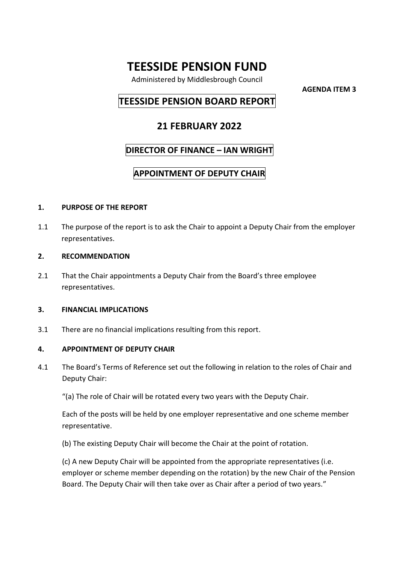# **TEESSIDE PENSION FUND**

Administered by Middlesbrough Council

**AGENDA ITEM 3**

# **TEESSIDE PENSION BOARD REPORT**

# **21 FEBRUARY 2022**

### **DIRECTOR OF FINANCE – IAN WRIGHT**

# **APPOINTMENT OF DEPUTY CHAIR**

#### **1. PURPOSE OF THE REPORT**

1.1 The purpose of the report is to ask the Chair to appoint a Deputy Chair from the employer representatives.

#### **2. RECOMMENDATION**

2.1 That the Chair appointments a Deputy Chair from the Board's three employee representatives.

#### **3. FINANCIAL IMPLICATIONS**

3.1 There are no financial implications resulting from this report.

#### **4. APPOINTMENT OF DEPUTY CHAIR**

- 4.1 The Board's Terms of Reference set out the following in relation to the roles of Chair and Deputy Chair:
	- "(a) The role of Chair will be rotated every two years with the Deputy Chair.

Each of the posts will be held by one employer representative and one scheme member representative.

(b) The existing Deputy Chair will become the Chair at the point of rotation.

(c) A new Deputy Chair will be appointed from the appropriate representatives (i.e. employer or scheme member depending on the rotation) by the new Chair of the Pension Board. The Deputy Chair will then take over as Chair after a period of two years."